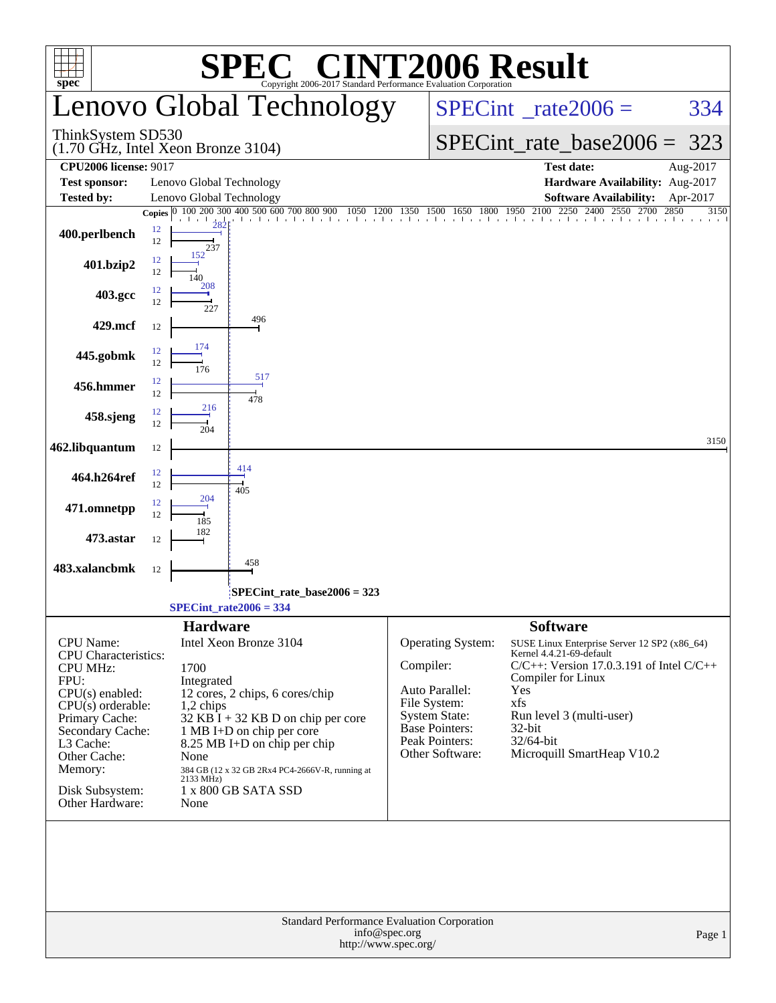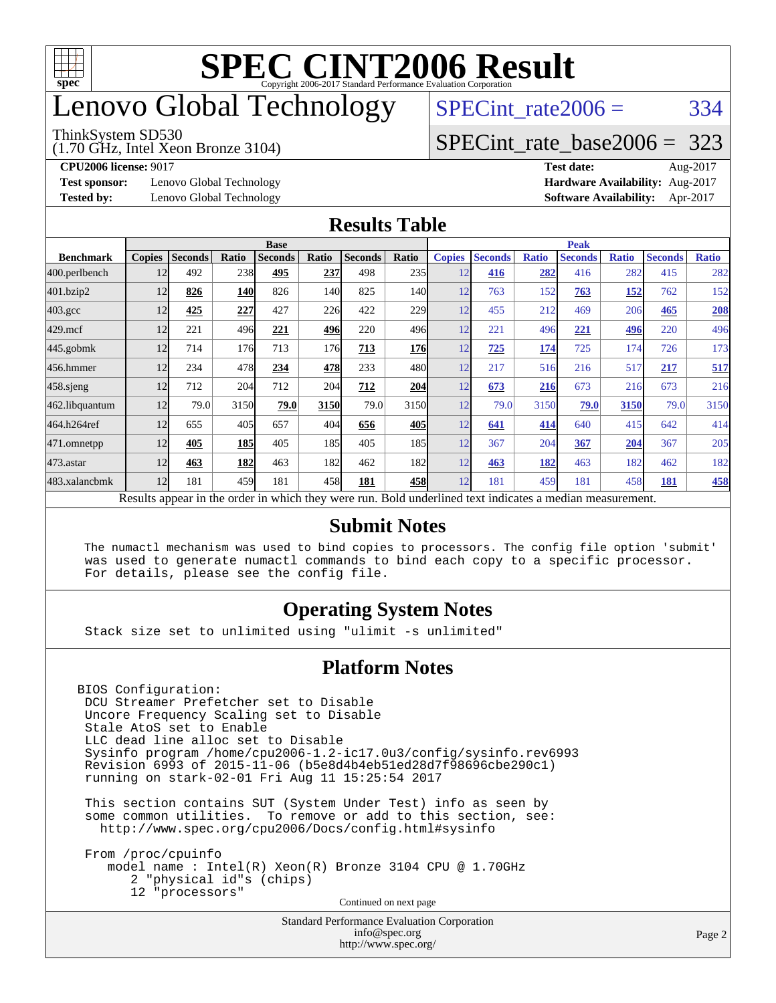

## enovo Global Technology

#### ThinkSystem SD530

(1.70 GHz, Intel Xeon Bronze 3104)

 $SPECTnt_rate2006 = 334$ 

### [SPECint\\_rate\\_base2006 =](http://www.spec.org/auto/cpu2006/Docs/result-fields.html#SPECintratebase2006) 323

**[Test sponsor:](http://www.spec.org/auto/cpu2006/Docs/result-fields.html#Testsponsor)** Lenovo Global Technology **[Hardware Availability:](http://www.spec.org/auto/cpu2006/Docs/result-fields.html#HardwareAvailability)** Aug-2017

**[CPU2006 license:](http://www.spec.org/auto/cpu2006/Docs/result-fields.html#CPU2006license)** 9017 **[Test date:](http://www.spec.org/auto/cpu2006/Docs/result-fields.html#Testdate)** Aug-2017 **[Tested by:](http://www.spec.org/auto/cpu2006/Docs/result-fields.html#Testedby)** Lenovo Global Technology **[Software Availability:](http://www.spec.org/auto/cpu2006/Docs/result-fields.html#SoftwareAvailability)** Apr-2017

### **[Results Table](http://www.spec.org/auto/cpu2006/Docs/result-fields.html#ResultsTable)**

|                    | <b>Base</b>   |                |            |                                                                                                          |            |                |            | <b>Peak</b>   |                |              |                |              |                |              |
|--------------------|---------------|----------------|------------|----------------------------------------------------------------------------------------------------------|------------|----------------|------------|---------------|----------------|--------------|----------------|--------------|----------------|--------------|
| <b>Benchmark</b>   | <b>Copies</b> | <b>Seconds</b> | Ratio      | <b>Seconds</b>                                                                                           | Ratio      | <b>Seconds</b> | Ratio      | <b>Copies</b> | <b>Seconds</b> | <b>Ratio</b> | <b>Seconds</b> | <b>Ratio</b> | <b>Seconds</b> | <b>Ratio</b> |
| 400.perlbench      | 12            | 492            | 238        | 495                                                                                                      | 237        | 498            | 235        | 12            | 416            | 282          | 416            | 282          | 415            | 282          |
| 401.bzip2          | 12            | 826            | 140        | 826                                                                                                      | <b>140</b> | 825            | 140I       | 12            | 763            | 152          | 763            | <u>152</u>   | 762            | 152          |
| $403.\mathrm{gcc}$ | 12            | 425            | 227        | 427                                                                                                      | 226        | 422            | 229        | 12            | 455            | 212          | 469            | 206          | 465            | 208          |
| $429$ .mcf         | 12            | 221            | 496        | 221                                                                                                      | 496        | 220            | 496        | 12            | 221            | 496          | 221            | 496          | 220            | 496          |
| $445$ .gobm $k$    | 12            | 714            | 176        | 713                                                                                                      | 176        | 713            | <b>176</b> | 12            | 725            | 174          | 725            | 174          | 726            | 173          |
| 456.hmmer          | 12            | 234            | 478        | 234                                                                                                      | 478        | 233            | 480        | 12            | 217            | 516          | 216            | 517          | 217            | 517          |
| $458$ .sjeng       | 12            | 712            | 204        | 712                                                                                                      | 204        | 712            | 204        | 12            | 673            | 216          | 673            | 216          | 673            | 216          |
| 462.libquantum     | 12            | 79.0           | 3150       | 79.0                                                                                                     | 3150       | 79.0           | 3150       | 12            | 79.0           | 3150         | 79.0           | 3150         | 79.0           | 3150         |
| 464.h264ref        | 12            | 655            | 405        | 657                                                                                                      | 404        | 656            | 405        | 12            | 641            | 414          | 640            | 415          | 642            | 414          |
| 471.omnetpp        | 12            | 405            | <b>185</b> | 405                                                                                                      | 185        | 405            | 185        | 12            | 367            | 204          | 367            | 204          | 367            | 205          |
| $473$ . astar      | 12            | 463            | 182        | 463                                                                                                      | 182        | 462            | 182        | 12            | 463            | 182          | 463            | 182          | 462            | 182          |
| 483.xalancbmk      | 12            | 181            | 459        | 181                                                                                                      | 458        | 181            | 458        | 12            | 181            | 459          | 181            | 458          | 181            | 458          |
|                    |               |                |            | Results appear in the order in which they were run. Bold underlined text indicates a median measurement. |            |                |            |               |                |              |                |              |                |              |

### **[Submit Notes](http://www.spec.org/auto/cpu2006/Docs/result-fields.html#SubmitNotes)**

 The numactl mechanism was used to bind copies to processors. The config file option 'submit' was used to generate numactl commands to bind each copy to a specific processor. For details, please see the config file.

### **[Operating System Notes](http://www.spec.org/auto/cpu2006/Docs/result-fields.html#OperatingSystemNotes)**

Stack size set to unlimited using "ulimit -s unlimited"

### **[Platform Notes](http://www.spec.org/auto/cpu2006/Docs/result-fields.html#PlatformNotes)**

BIOS Configuration: DCU Streamer Prefetcher set to Disable Uncore Frequency Scaling set to Disable Stale AtoS set to Enable LLC dead line alloc set to Disable Sysinfo program /home/cpu2006-1.2-ic17.0u3/config/sysinfo.rev6993 Revision 6993 of 2015-11-06 (b5e8d4b4eb51ed28d7f98696cbe290c1) running on stark-02-01 Fri Aug 11 15:25:54 2017

 This section contains SUT (System Under Test) info as seen by some common utilities. To remove or add to this section, see: <http://www.spec.org/cpu2006/Docs/config.html#sysinfo>

 From /proc/cpuinfo model name : Intel(R) Xeon(R) Bronze 3104 CPU @ 1.70GHz 2 "physical id"s (chips) 12 "processors" Continued on next page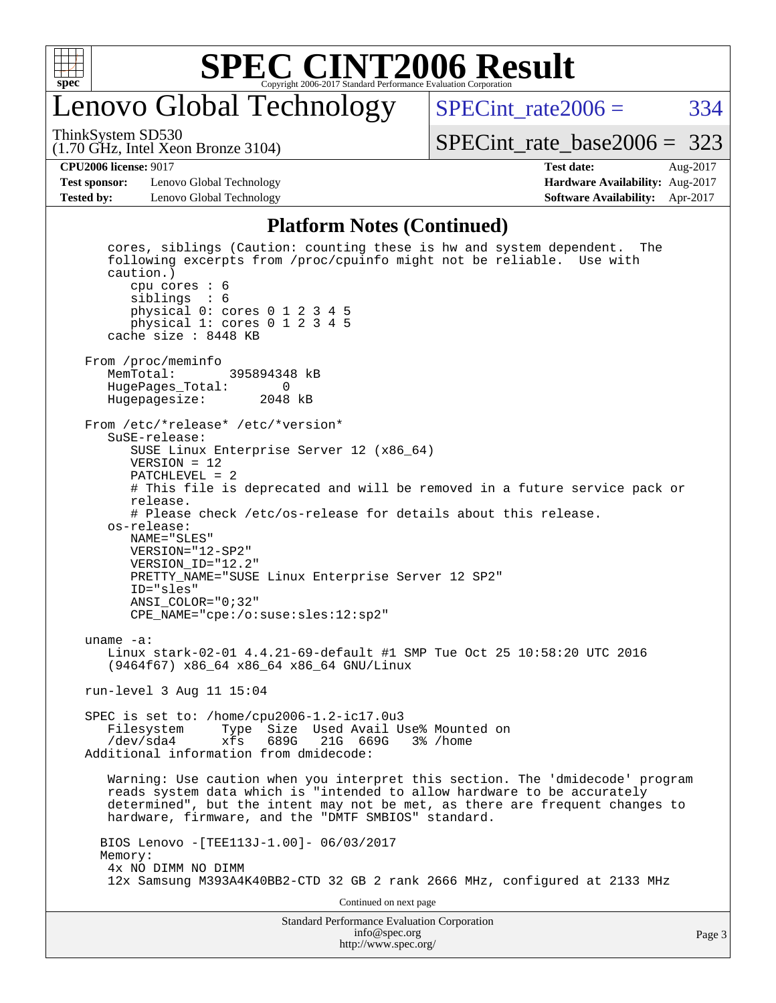

### enovo Global Technology

SPECint rate $2006 = 334$ [SPECint\\_rate\\_base2006 =](http://www.spec.org/auto/cpu2006/Docs/result-fields.html#SPECintratebase2006) 323

(1.70 GHz, Intel Xeon Bronze 3104) ThinkSystem SD530

#### **[CPU2006 license:](http://www.spec.org/auto/cpu2006/Docs/result-fields.html#CPU2006license)** 9017 **[Test date:](http://www.spec.org/auto/cpu2006/Docs/result-fields.html#Testdate)** Aug-2017

**[Test sponsor:](http://www.spec.org/auto/cpu2006/Docs/result-fields.html#Testsponsor)** Lenovo Global Technology **[Hardware Availability:](http://www.spec.org/auto/cpu2006/Docs/result-fields.html#HardwareAvailability)** Aug-2017 **[Tested by:](http://www.spec.org/auto/cpu2006/Docs/result-fields.html#Testedby)** Lenovo Global Technology **[Software Availability:](http://www.spec.org/auto/cpu2006/Docs/result-fields.html#SoftwareAvailability)** Apr-2017

#### **[Platform Notes \(Continued\)](http://www.spec.org/auto/cpu2006/Docs/result-fields.html#PlatformNotes)**

Standard Performance Evaluation Corporation [info@spec.org](mailto:info@spec.org) cores, siblings (Caution: counting these is hw and system dependent. The following excerpts from /proc/cpuinfo might not be reliable. Use with caution.) cpu cores : 6 siblings : 6 physical 0: cores 0 1 2 3 4 5 physical 1: cores 0 1 2 3 4 5 cache size : 8448 KB From /proc/meminfo<br>MemTotal: 395894348 kB HugePages\_Total: 0 Hugepagesize: 2048 kB From /etc/\*release\* /etc/\*version\* SuSE-release: SUSE Linux Enterprise Server 12 (x86\_64) VERSION = 12 PATCHLEVEL = 2 # This file is deprecated and will be removed in a future service pack or release. # Please check /etc/os-release for details about this release. os-release: NAME="SLES" VERSION="12-SP2" VERSION\_ID="12.2" PRETTY\_NAME="SUSE Linux Enterprise Server 12 SP2" ID="sles" ANSI\_COLOR="0;32" CPE\_NAME="cpe:/o:suse:sles:12:sp2" uname -a: Linux stark-02-01 4.4.21-69-default #1 SMP Tue Oct 25 10:58:20 UTC 2016 (9464f67) x86\_64 x86\_64 x86\_64 GNU/Linux run-level 3 Aug 11 15:04 SPEC is set to: /home/cpu2006-1.2-ic17.0u3 Type Size Used Avail Use% Mounted on /dev/sda4 xfs 689G 21G 669G 3% /home Additional information from dmidecode: Warning: Use caution when you interpret this section. The 'dmidecode' program reads system data which is "intended to allow hardware to be accurately determined", but the intent may not be met, as there are frequent changes to hardware, firmware, and the "DMTF SMBIOS" standard. BIOS Lenovo -[TEE113J-1.00]- 06/03/2017 Memory: 4x NO DIMM NO DIMM 12x Samsung M393A4K40BB2-CTD 32 GB 2 rank 2666 MHz, configured at 2133 MHz Continued on next page

<http://www.spec.org/>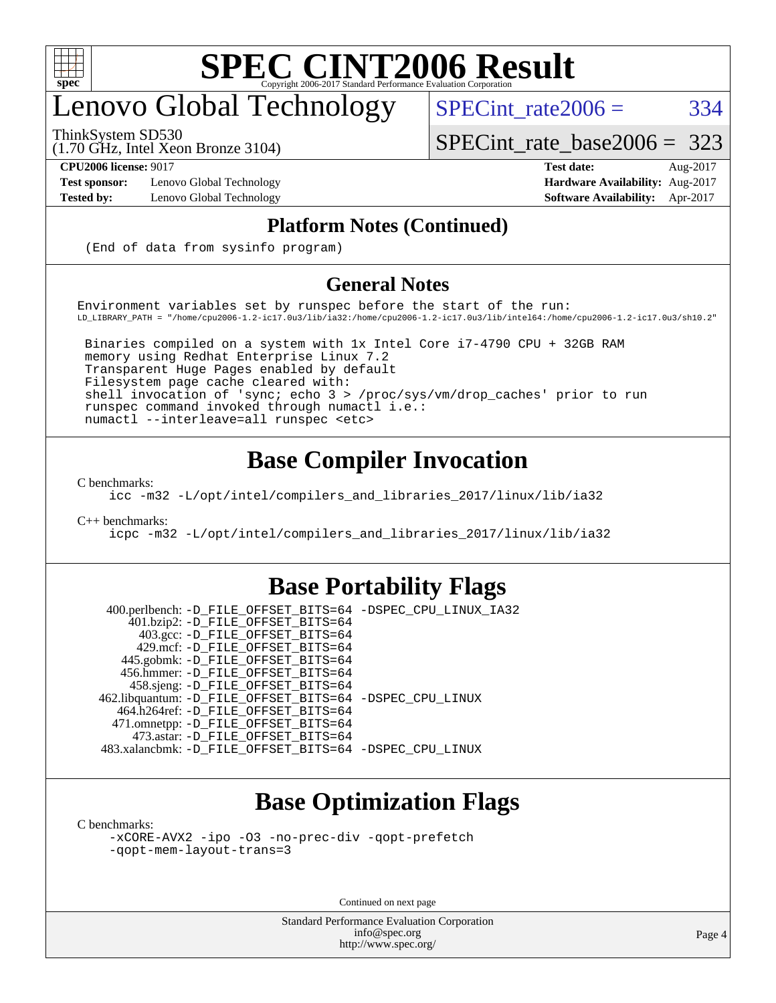

## enovo Global Technology

ThinkSystem SD530

 $SPECTnt_rate2006 = 334$ 

[SPECint\\_rate\\_base2006 =](http://www.spec.org/auto/cpu2006/Docs/result-fields.html#SPECintratebase2006) 323

(1.70 GHz, Intel Xeon Bronze 3104)

**[Test sponsor:](http://www.spec.org/auto/cpu2006/Docs/result-fields.html#Testsponsor)** Lenovo Global Technology **[Hardware Availability:](http://www.spec.org/auto/cpu2006/Docs/result-fields.html#HardwareAvailability)** Aug-2017

**[CPU2006 license:](http://www.spec.org/auto/cpu2006/Docs/result-fields.html#CPU2006license)** 9017 **[Test date:](http://www.spec.org/auto/cpu2006/Docs/result-fields.html#Testdate)** Aug-2017 **[Tested by:](http://www.spec.org/auto/cpu2006/Docs/result-fields.html#Testedby)** Lenovo Global Technology **[Software Availability:](http://www.spec.org/auto/cpu2006/Docs/result-fields.html#SoftwareAvailability)** Apr-2017

### **[Platform Notes \(Continued\)](http://www.spec.org/auto/cpu2006/Docs/result-fields.html#PlatformNotes)**

(End of data from sysinfo program)

### **[General Notes](http://www.spec.org/auto/cpu2006/Docs/result-fields.html#GeneralNotes)**

Environment variables set by runspec before the start of the run: LD\_LIBRARY\_PATH = "/home/cpu2006-1.2-ic17.0u3/lib/ia32:/home/cpu2006-1.2-ic17.0u3/lib/intel64:/home/cpu2006-1.2-ic17.0u3/sh10.2"

 Binaries compiled on a system with 1x Intel Core i7-4790 CPU + 32GB RAM memory using Redhat Enterprise Linux 7.2 Transparent Huge Pages enabled by default Filesystem page cache cleared with: shell invocation of 'sync; echo 3 > /proc/sys/vm/drop\_caches' prior to run runspec command invoked through numactl i.e.: numactl --interleave=all runspec <etc>

### **[Base Compiler Invocation](http://www.spec.org/auto/cpu2006/Docs/result-fields.html#BaseCompilerInvocation)**

[C benchmarks](http://www.spec.org/auto/cpu2006/Docs/result-fields.html#Cbenchmarks):

[icc -m32 -L/opt/intel/compilers\\_and\\_libraries\\_2017/linux/lib/ia32](http://www.spec.org/cpu2006/results/res2017q4/cpu2006-20170918-49593.flags.html#user_CCbase_intel_icc_c29f3ff5a7ed067b11e4ec10a03f03ae)

[C++ benchmarks:](http://www.spec.org/auto/cpu2006/Docs/result-fields.html#CXXbenchmarks)

[icpc -m32 -L/opt/intel/compilers\\_and\\_libraries\\_2017/linux/lib/ia32](http://www.spec.org/cpu2006/results/res2017q4/cpu2006-20170918-49593.flags.html#user_CXXbase_intel_icpc_8c35c7808b62dab9ae41a1aa06361b6b)

### **[Base Portability Flags](http://www.spec.org/auto/cpu2006/Docs/result-fields.html#BasePortabilityFlags)**

 400.perlbench: [-D\\_FILE\\_OFFSET\\_BITS=64](http://www.spec.org/cpu2006/results/res2017q4/cpu2006-20170918-49593.flags.html#user_basePORTABILITY400_perlbench_file_offset_bits_64_438cf9856305ebd76870a2c6dc2689ab) [-DSPEC\\_CPU\\_LINUX\\_IA32](http://www.spec.org/cpu2006/results/res2017q4/cpu2006-20170918-49593.flags.html#b400.perlbench_baseCPORTABILITY_DSPEC_CPU_LINUX_IA32) 401.bzip2: [-D\\_FILE\\_OFFSET\\_BITS=64](http://www.spec.org/cpu2006/results/res2017q4/cpu2006-20170918-49593.flags.html#user_basePORTABILITY401_bzip2_file_offset_bits_64_438cf9856305ebd76870a2c6dc2689ab) 403.gcc: [-D\\_FILE\\_OFFSET\\_BITS=64](http://www.spec.org/cpu2006/results/res2017q4/cpu2006-20170918-49593.flags.html#user_basePORTABILITY403_gcc_file_offset_bits_64_438cf9856305ebd76870a2c6dc2689ab) 429.mcf: [-D\\_FILE\\_OFFSET\\_BITS=64](http://www.spec.org/cpu2006/results/res2017q4/cpu2006-20170918-49593.flags.html#user_basePORTABILITY429_mcf_file_offset_bits_64_438cf9856305ebd76870a2c6dc2689ab) 445.gobmk: [-D\\_FILE\\_OFFSET\\_BITS=64](http://www.spec.org/cpu2006/results/res2017q4/cpu2006-20170918-49593.flags.html#user_basePORTABILITY445_gobmk_file_offset_bits_64_438cf9856305ebd76870a2c6dc2689ab) 456.hmmer: [-D\\_FILE\\_OFFSET\\_BITS=64](http://www.spec.org/cpu2006/results/res2017q4/cpu2006-20170918-49593.flags.html#user_basePORTABILITY456_hmmer_file_offset_bits_64_438cf9856305ebd76870a2c6dc2689ab) 458.sjeng: [-D\\_FILE\\_OFFSET\\_BITS=64](http://www.spec.org/cpu2006/results/res2017q4/cpu2006-20170918-49593.flags.html#user_basePORTABILITY458_sjeng_file_offset_bits_64_438cf9856305ebd76870a2c6dc2689ab) 462.libquantum: [-D\\_FILE\\_OFFSET\\_BITS=64](http://www.spec.org/cpu2006/results/res2017q4/cpu2006-20170918-49593.flags.html#user_basePORTABILITY462_libquantum_file_offset_bits_64_438cf9856305ebd76870a2c6dc2689ab) [-DSPEC\\_CPU\\_LINUX](http://www.spec.org/cpu2006/results/res2017q4/cpu2006-20170918-49593.flags.html#b462.libquantum_baseCPORTABILITY_DSPEC_CPU_LINUX) 464.h264ref: [-D\\_FILE\\_OFFSET\\_BITS=64](http://www.spec.org/cpu2006/results/res2017q4/cpu2006-20170918-49593.flags.html#user_basePORTABILITY464_h264ref_file_offset_bits_64_438cf9856305ebd76870a2c6dc2689ab) 471.omnetpp: [-D\\_FILE\\_OFFSET\\_BITS=64](http://www.spec.org/cpu2006/results/res2017q4/cpu2006-20170918-49593.flags.html#user_basePORTABILITY471_omnetpp_file_offset_bits_64_438cf9856305ebd76870a2c6dc2689ab) 473.astar: [-D\\_FILE\\_OFFSET\\_BITS=64](http://www.spec.org/cpu2006/results/res2017q4/cpu2006-20170918-49593.flags.html#user_basePORTABILITY473_astar_file_offset_bits_64_438cf9856305ebd76870a2c6dc2689ab) 483.xalancbmk: [-D\\_FILE\\_OFFSET\\_BITS=64](http://www.spec.org/cpu2006/results/res2017q4/cpu2006-20170918-49593.flags.html#user_basePORTABILITY483_xalancbmk_file_offset_bits_64_438cf9856305ebd76870a2c6dc2689ab) [-DSPEC\\_CPU\\_LINUX](http://www.spec.org/cpu2006/results/res2017q4/cpu2006-20170918-49593.flags.html#b483.xalancbmk_baseCXXPORTABILITY_DSPEC_CPU_LINUX)

### **[Base Optimization Flags](http://www.spec.org/auto/cpu2006/Docs/result-fields.html#BaseOptimizationFlags)**

[C benchmarks](http://www.spec.org/auto/cpu2006/Docs/result-fields.html#Cbenchmarks):

[-xCORE-AVX2](http://www.spec.org/cpu2006/results/res2017q4/cpu2006-20170918-49593.flags.html#user_CCbase_f-xCORE-AVX2) [-ipo](http://www.spec.org/cpu2006/results/res2017q4/cpu2006-20170918-49593.flags.html#user_CCbase_f-ipo) [-O3](http://www.spec.org/cpu2006/results/res2017q4/cpu2006-20170918-49593.flags.html#user_CCbase_f-O3) [-no-prec-div](http://www.spec.org/cpu2006/results/res2017q4/cpu2006-20170918-49593.flags.html#user_CCbase_f-no-prec-div) [-qopt-prefetch](http://www.spec.org/cpu2006/results/res2017q4/cpu2006-20170918-49593.flags.html#user_CCbase_f-qopt-prefetch) [-qopt-mem-layout-trans=3](http://www.spec.org/cpu2006/results/res2017q4/cpu2006-20170918-49593.flags.html#user_CCbase_f-qopt-mem-layout-trans_170f5be61cd2cedc9b54468c59262d5d)

Continued on next page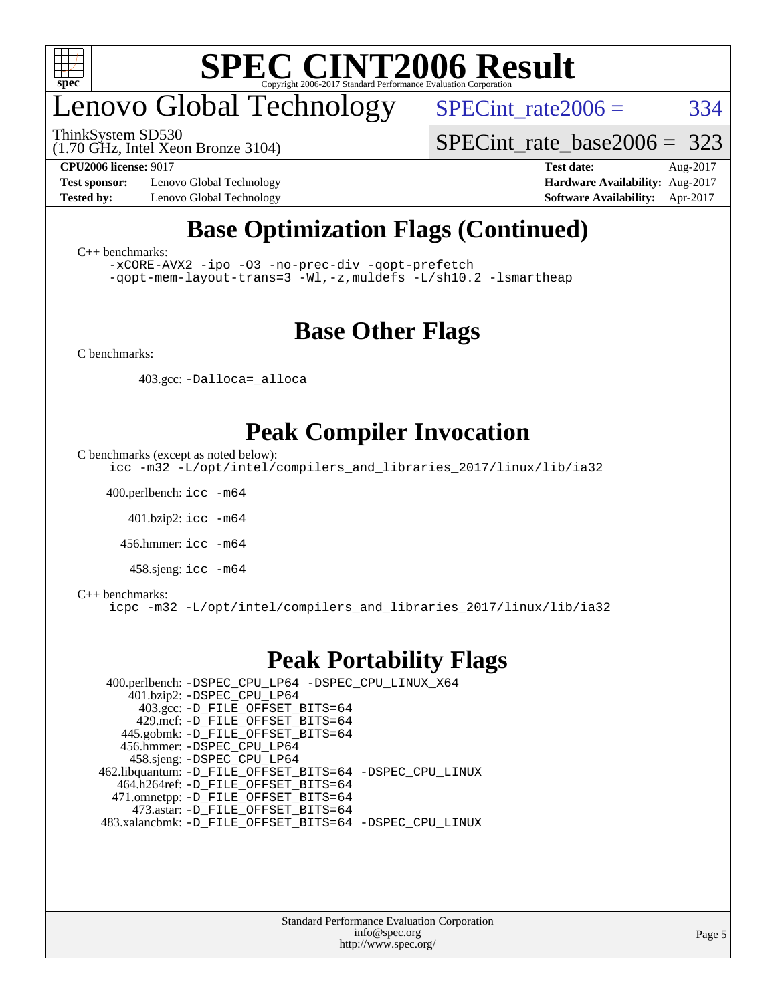

## enovo Global Technology

ThinkSystem SD530

 $SPECTnt_rate2006 = 334$ 

[SPECint\\_rate\\_base2006 =](http://www.spec.org/auto/cpu2006/Docs/result-fields.html#SPECintratebase2006) 323

(1.70 GHz, Intel Xeon Bronze 3104)

**[Test sponsor:](http://www.spec.org/auto/cpu2006/Docs/result-fields.html#Testsponsor)** Lenovo Global Technology **[Hardware Availability:](http://www.spec.org/auto/cpu2006/Docs/result-fields.html#HardwareAvailability)** Aug-2017

**[CPU2006 license:](http://www.spec.org/auto/cpu2006/Docs/result-fields.html#CPU2006license)** 9017 **[Test date:](http://www.spec.org/auto/cpu2006/Docs/result-fields.html#Testdate)** Aug-2017 **[Tested by:](http://www.spec.org/auto/cpu2006/Docs/result-fields.html#Testedby)** Lenovo Global Technology **[Software Availability:](http://www.spec.org/auto/cpu2006/Docs/result-fields.html#SoftwareAvailability)** Apr-2017

### **[Base Optimization Flags \(Continued\)](http://www.spec.org/auto/cpu2006/Docs/result-fields.html#BaseOptimizationFlags)**

[C++ benchmarks:](http://www.spec.org/auto/cpu2006/Docs/result-fields.html#CXXbenchmarks)

[-xCORE-AVX2](http://www.spec.org/cpu2006/results/res2017q4/cpu2006-20170918-49593.flags.html#user_CXXbase_f-xCORE-AVX2) [-ipo](http://www.spec.org/cpu2006/results/res2017q4/cpu2006-20170918-49593.flags.html#user_CXXbase_f-ipo) [-O3](http://www.spec.org/cpu2006/results/res2017q4/cpu2006-20170918-49593.flags.html#user_CXXbase_f-O3) [-no-prec-div](http://www.spec.org/cpu2006/results/res2017q4/cpu2006-20170918-49593.flags.html#user_CXXbase_f-no-prec-div) [-qopt-prefetch](http://www.spec.org/cpu2006/results/res2017q4/cpu2006-20170918-49593.flags.html#user_CXXbase_f-qopt-prefetch) [-qopt-mem-layout-trans=3](http://www.spec.org/cpu2006/results/res2017q4/cpu2006-20170918-49593.flags.html#user_CXXbase_f-qopt-mem-layout-trans_170f5be61cd2cedc9b54468c59262d5d) [-Wl,-z,muldefs](http://www.spec.org/cpu2006/results/res2017q4/cpu2006-20170918-49593.flags.html#user_CXXbase_link_force_multiple1_74079c344b956b9658436fd1b6dd3a8a) [-L/sh10.2 -lsmartheap](http://www.spec.org/cpu2006/results/res2017q4/cpu2006-20170918-49593.flags.html#user_CXXbase_SmartHeap_b831f2d313e2fffa6dfe3f00ffc1f1c0)

### **[Base Other Flags](http://www.spec.org/auto/cpu2006/Docs/result-fields.html#BaseOtherFlags)**

[C benchmarks](http://www.spec.org/auto/cpu2006/Docs/result-fields.html#Cbenchmarks):

403.gcc: [-Dalloca=\\_alloca](http://www.spec.org/cpu2006/results/res2017q4/cpu2006-20170918-49593.flags.html#b403.gcc_baseEXTRA_CFLAGS_Dalloca_be3056838c12de2578596ca5467af7f3)

### **[Peak Compiler Invocation](http://www.spec.org/auto/cpu2006/Docs/result-fields.html#PeakCompilerInvocation)**

[C benchmarks \(except as noted below\)](http://www.spec.org/auto/cpu2006/Docs/result-fields.html#Cbenchmarksexceptasnotedbelow):

[icc -m32 -L/opt/intel/compilers\\_and\\_libraries\\_2017/linux/lib/ia32](http://www.spec.org/cpu2006/results/res2017q4/cpu2006-20170918-49593.flags.html#user_CCpeak_intel_icc_c29f3ff5a7ed067b11e4ec10a03f03ae)

400.perlbench: [icc -m64](http://www.spec.org/cpu2006/results/res2017q4/cpu2006-20170918-49593.flags.html#user_peakCCLD400_perlbench_intel_icc_64bit_bda6cc9af1fdbb0edc3795bac97ada53)

401.bzip2: [icc -m64](http://www.spec.org/cpu2006/results/res2017q4/cpu2006-20170918-49593.flags.html#user_peakCCLD401_bzip2_intel_icc_64bit_bda6cc9af1fdbb0edc3795bac97ada53)

456.hmmer: [icc -m64](http://www.spec.org/cpu2006/results/res2017q4/cpu2006-20170918-49593.flags.html#user_peakCCLD456_hmmer_intel_icc_64bit_bda6cc9af1fdbb0edc3795bac97ada53)

458.sjeng: [icc -m64](http://www.spec.org/cpu2006/results/res2017q4/cpu2006-20170918-49593.flags.html#user_peakCCLD458_sjeng_intel_icc_64bit_bda6cc9af1fdbb0edc3795bac97ada53)

#### [C++ benchmarks:](http://www.spec.org/auto/cpu2006/Docs/result-fields.html#CXXbenchmarks)

[icpc -m32 -L/opt/intel/compilers\\_and\\_libraries\\_2017/linux/lib/ia32](http://www.spec.org/cpu2006/results/res2017q4/cpu2006-20170918-49593.flags.html#user_CXXpeak_intel_icpc_8c35c7808b62dab9ae41a1aa06361b6b)

### **[Peak Portability Flags](http://www.spec.org/auto/cpu2006/Docs/result-fields.html#PeakPortabilityFlags)**

 400.perlbench: [-DSPEC\\_CPU\\_LP64](http://www.spec.org/cpu2006/results/res2017q4/cpu2006-20170918-49593.flags.html#b400.perlbench_peakCPORTABILITY_DSPEC_CPU_LP64) [-DSPEC\\_CPU\\_LINUX\\_X64](http://www.spec.org/cpu2006/results/res2017q4/cpu2006-20170918-49593.flags.html#b400.perlbench_peakCPORTABILITY_DSPEC_CPU_LINUX_X64) 401.bzip2: [-DSPEC\\_CPU\\_LP64](http://www.spec.org/cpu2006/results/res2017q4/cpu2006-20170918-49593.flags.html#suite_peakCPORTABILITY401_bzip2_DSPEC_CPU_LP64) 403.gcc: [-D\\_FILE\\_OFFSET\\_BITS=64](http://www.spec.org/cpu2006/results/res2017q4/cpu2006-20170918-49593.flags.html#user_peakPORTABILITY403_gcc_file_offset_bits_64_438cf9856305ebd76870a2c6dc2689ab) 429.mcf: [-D\\_FILE\\_OFFSET\\_BITS=64](http://www.spec.org/cpu2006/results/res2017q4/cpu2006-20170918-49593.flags.html#user_peakPORTABILITY429_mcf_file_offset_bits_64_438cf9856305ebd76870a2c6dc2689ab) 445.gobmk: [-D\\_FILE\\_OFFSET\\_BITS=64](http://www.spec.org/cpu2006/results/res2017q4/cpu2006-20170918-49593.flags.html#user_peakPORTABILITY445_gobmk_file_offset_bits_64_438cf9856305ebd76870a2c6dc2689ab) 456.hmmer: [-DSPEC\\_CPU\\_LP64](http://www.spec.org/cpu2006/results/res2017q4/cpu2006-20170918-49593.flags.html#suite_peakCPORTABILITY456_hmmer_DSPEC_CPU_LP64) 458.sjeng: [-DSPEC\\_CPU\\_LP64](http://www.spec.org/cpu2006/results/res2017q4/cpu2006-20170918-49593.flags.html#suite_peakCPORTABILITY458_sjeng_DSPEC_CPU_LP64) 462.libquantum: [-D\\_FILE\\_OFFSET\\_BITS=64](http://www.spec.org/cpu2006/results/res2017q4/cpu2006-20170918-49593.flags.html#user_peakPORTABILITY462_libquantum_file_offset_bits_64_438cf9856305ebd76870a2c6dc2689ab) [-DSPEC\\_CPU\\_LINUX](http://www.spec.org/cpu2006/results/res2017q4/cpu2006-20170918-49593.flags.html#b462.libquantum_peakCPORTABILITY_DSPEC_CPU_LINUX) 464.h264ref: [-D\\_FILE\\_OFFSET\\_BITS=64](http://www.spec.org/cpu2006/results/res2017q4/cpu2006-20170918-49593.flags.html#user_peakPORTABILITY464_h264ref_file_offset_bits_64_438cf9856305ebd76870a2c6dc2689ab) 471.omnetpp: [-D\\_FILE\\_OFFSET\\_BITS=64](http://www.spec.org/cpu2006/results/res2017q4/cpu2006-20170918-49593.flags.html#user_peakPORTABILITY471_omnetpp_file_offset_bits_64_438cf9856305ebd76870a2c6dc2689ab) 473.astar: [-D\\_FILE\\_OFFSET\\_BITS=64](http://www.spec.org/cpu2006/results/res2017q4/cpu2006-20170918-49593.flags.html#user_peakPORTABILITY473_astar_file_offset_bits_64_438cf9856305ebd76870a2c6dc2689ab) 483.xalancbmk: [-D\\_FILE\\_OFFSET\\_BITS=64](http://www.spec.org/cpu2006/results/res2017q4/cpu2006-20170918-49593.flags.html#user_peakPORTABILITY483_xalancbmk_file_offset_bits_64_438cf9856305ebd76870a2c6dc2689ab) [-DSPEC\\_CPU\\_LINUX](http://www.spec.org/cpu2006/results/res2017q4/cpu2006-20170918-49593.flags.html#b483.xalancbmk_peakCXXPORTABILITY_DSPEC_CPU_LINUX)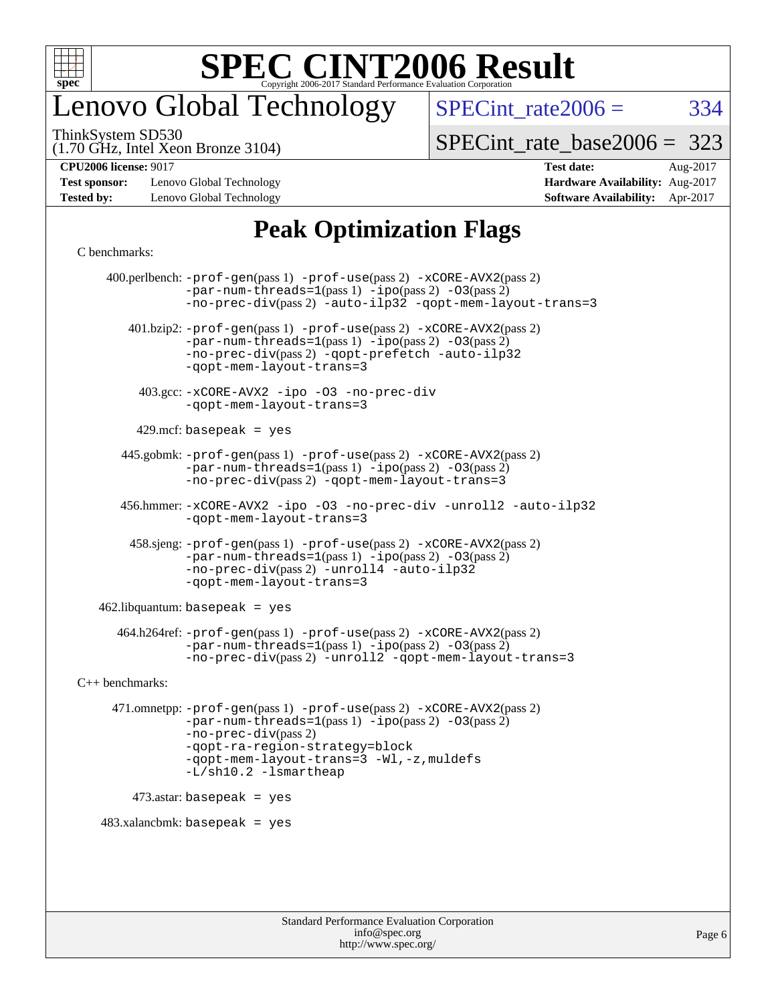

## enovo Global Technology

 $SPECTnt_rate2006 = 334$ 

(1.70 GHz, Intel Xeon Bronze 3104) ThinkSystem SD530

[SPECint\\_rate\\_base2006 =](http://www.spec.org/auto/cpu2006/Docs/result-fields.html#SPECintratebase2006) 323

**[Test sponsor:](http://www.spec.org/auto/cpu2006/Docs/result-fields.html#Testsponsor)** Lenovo Global Technology **[Hardware Availability:](http://www.spec.org/auto/cpu2006/Docs/result-fields.html#HardwareAvailability)** Aug-2017 **[Tested by:](http://www.spec.org/auto/cpu2006/Docs/result-fields.html#Testedby)** Lenovo Global Technology **[Software Availability:](http://www.spec.org/auto/cpu2006/Docs/result-fields.html#SoftwareAvailability)** Apr-2017

# **[CPU2006 license:](http://www.spec.org/auto/cpu2006/Docs/result-fields.html#CPU2006license)** 9017 **[Test date:](http://www.spec.org/auto/cpu2006/Docs/result-fields.html#Testdate)** Aug-2017

### **[Peak Optimization Flags](http://www.spec.org/auto/cpu2006/Docs/result-fields.html#PeakOptimizationFlags)**

#### [C benchmarks](http://www.spec.org/auto/cpu2006/Docs/result-fields.html#Cbenchmarks):

 400.perlbench: [-prof-gen](http://www.spec.org/cpu2006/results/res2017q4/cpu2006-20170918-49593.flags.html#user_peakPASS1_CFLAGSPASS1_LDCFLAGS400_perlbench_prof_gen_e43856698f6ca7b7e442dfd80e94a8fc)(pass 1) [-prof-use](http://www.spec.org/cpu2006/results/res2017q4/cpu2006-20170918-49593.flags.html#user_peakPASS2_CFLAGSPASS2_LDCFLAGS400_perlbench_prof_use_bccf7792157ff70d64e32fe3e1250b55)(pass 2) [-xCORE-AVX2](http://www.spec.org/cpu2006/results/res2017q4/cpu2006-20170918-49593.flags.html#user_peakPASS2_CFLAGSPASS2_LDCFLAGS400_perlbench_f-xCORE-AVX2)(pass 2)  $-par-num-threads=1(pass 1) -ipo(pass 2) -O3(pass 2)$  $-par-num-threads=1(pass 1) -ipo(pass 2) -O3(pass 2)$  $-par-num-threads=1(pass 1) -ipo(pass 2) -O3(pass 2)$  $-par-num-threads=1(pass 1) -ipo(pass 2) -O3(pass 2)$  $-par-num-threads=1(pass 1) -ipo(pass 2) -O3(pass 2)$  $-par-num-threads=1(pass 1) -ipo(pass 2) -O3(pass 2)$ [-no-prec-div](http://www.spec.org/cpu2006/results/res2017q4/cpu2006-20170918-49593.flags.html#user_peakPASS2_CFLAGSPASS2_LDCFLAGS400_perlbench_f-no-prec-div)(pass 2) [-auto-ilp32](http://www.spec.org/cpu2006/results/res2017q4/cpu2006-20170918-49593.flags.html#user_peakCOPTIMIZE400_perlbench_f-auto-ilp32) [-qopt-mem-layout-trans=3](http://www.spec.org/cpu2006/results/res2017q4/cpu2006-20170918-49593.flags.html#user_peakCOPTIMIZE400_perlbench_f-qopt-mem-layout-trans_170f5be61cd2cedc9b54468c59262d5d) 401.bzip2: [-prof-gen](http://www.spec.org/cpu2006/results/res2017q4/cpu2006-20170918-49593.flags.html#user_peakPASS1_CFLAGSPASS1_LDCFLAGS401_bzip2_prof_gen_e43856698f6ca7b7e442dfd80e94a8fc)(pass 1) [-prof-use](http://www.spec.org/cpu2006/results/res2017q4/cpu2006-20170918-49593.flags.html#user_peakPASS2_CFLAGSPASS2_LDCFLAGS401_bzip2_prof_use_bccf7792157ff70d64e32fe3e1250b55)(pass 2) [-xCORE-AVX2](http://www.spec.org/cpu2006/results/res2017q4/cpu2006-20170918-49593.flags.html#user_peakPASS2_CFLAGSPASS2_LDCFLAGS401_bzip2_f-xCORE-AVX2)(pass 2) [-par-num-threads=1](http://www.spec.org/cpu2006/results/res2017q4/cpu2006-20170918-49593.flags.html#user_peakPASS1_CFLAGSPASS1_LDCFLAGS401_bzip2_par_num_threads_786a6ff141b4e9e90432e998842df6c2)(pass 1) [-ipo](http://www.spec.org/cpu2006/results/res2017q4/cpu2006-20170918-49593.flags.html#user_peakPASS2_CFLAGSPASS2_LDCFLAGS401_bzip2_f-ipo)(pass 2) [-O3](http://www.spec.org/cpu2006/results/res2017q4/cpu2006-20170918-49593.flags.html#user_peakPASS2_CFLAGSPASS2_LDCFLAGS401_bzip2_f-O3)(pass 2) [-no-prec-div](http://www.spec.org/cpu2006/results/res2017q4/cpu2006-20170918-49593.flags.html#user_peakPASS2_CFLAGSPASS2_LDCFLAGS401_bzip2_f-no-prec-div)(pass 2) [-qopt-prefetch](http://www.spec.org/cpu2006/results/res2017q4/cpu2006-20170918-49593.flags.html#user_peakCOPTIMIZE401_bzip2_f-qopt-prefetch) [-auto-ilp32](http://www.spec.org/cpu2006/results/res2017q4/cpu2006-20170918-49593.flags.html#user_peakCOPTIMIZE401_bzip2_f-auto-ilp32) [-qopt-mem-layout-trans=3](http://www.spec.org/cpu2006/results/res2017q4/cpu2006-20170918-49593.flags.html#user_peakCOPTIMIZE401_bzip2_f-qopt-mem-layout-trans_170f5be61cd2cedc9b54468c59262d5d) 403.gcc: [-xCORE-AVX2](http://www.spec.org/cpu2006/results/res2017q4/cpu2006-20170918-49593.flags.html#user_peakOPTIMIZE403_gcc_f-xCORE-AVX2) [-ipo](http://www.spec.org/cpu2006/results/res2017q4/cpu2006-20170918-49593.flags.html#user_peakOPTIMIZE403_gcc_f-ipo) [-O3](http://www.spec.org/cpu2006/results/res2017q4/cpu2006-20170918-49593.flags.html#user_peakOPTIMIZE403_gcc_f-O3) [-no-prec-div](http://www.spec.org/cpu2006/results/res2017q4/cpu2006-20170918-49593.flags.html#user_peakOPTIMIZE403_gcc_f-no-prec-div) [-qopt-mem-layout-trans=3](http://www.spec.org/cpu2006/results/res2017q4/cpu2006-20170918-49593.flags.html#user_peakCOPTIMIZE403_gcc_f-qopt-mem-layout-trans_170f5be61cd2cedc9b54468c59262d5d)  $429$ .mcf: basepeak = yes 445.gobmk: [-prof-gen](http://www.spec.org/cpu2006/results/res2017q4/cpu2006-20170918-49593.flags.html#user_peakPASS1_CFLAGSPASS1_LDCFLAGS445_gobmk_prof_gen_e43856698f6ca7b7e442dfd80e94a8fc)(pass 1) [-prof-use](http://www.spec.org/cpu2006/results/res2017q4/cpu2006-20170918-49593.flags.html#user_peakPASS2_CFLAGSPASS2_LDCFLAGSPASS2_LDFLAGS445_gobmk_prof_use_bccf7792157ff70d64e32fe3e1250b55)(pass 2) [-xCORE-AVX2](http://www.spec.org/cpu2006/results/res2017q4/cpu2006-20170918-49593.flags.html#user_peakPASS2_CFLAGSPASS2_LDCFLAGSPASS2_LDFLAGS445_gobmk_f-xCORE-AVX2)(pass 2)  $-par-num-threads=1(pass 1) -ipo(pass 2) -O3(pass 2)$  $-par-num-threads=1(pass 1) -ipo(pass 2) -O3(pass 2)$  $-par-num-threads=1(pass 1) -ipo(pass 2) -O3(pass 2)$  $-par-num-threads=1(pass 1) -ipo(pass 2) -O3(pass 2)$  $-par-num-threads=1(pass 1) -ipo(pass 2) -O3(pass 2)$  $-par-num-threads=1(pass 1) -ipo(pass 2) -O3(pass 2)$ [-no-prec-div](http://www.spec.org/cpu2006/results/res2017q4/cpu2006-20170918-49593.flags.html#user_peakPASS2_LDCFLAGS445_gobmk_f-no-prec-div)(pass 2) [-qopt-mem-layout-trans=3](http://www.spec.org/cpu2006/results/res2017q4/cpu2006-20170918-49593.flags.html#user_peakCOPTIMIZE445_gobmk_f-qopt-mem-layout-trans_170f5be61cd2cedc9b54468c59262d5d) 456.hmmer: [-xCORE-AVX2](http://www.spec.org/cpu2006/results/res2017q4/cpu2006-20170918-49593.flags.html#user_peakOPTIMIZE456_hmmer_f-xCORE-AVX2) [-ipo](http://www.spec.org/cpu2006/results/res2017q4/cpu2006-20170918-49593.flags.html#user_peakOPTIMIZE456_hmmer_f-ipo) [-O3](http://www.spec.org/cpu2006/results/res2017q4/cpu2006-20170918-49593.flags.html#user_peakOPTIMIZE456_hmmer_f-O3) [-no-prec-div](http://www.spec.org/cpu2006/results/res2017q4/cpu2006-20170918-49593.flags.html#user_peakOPTIMIZE456_hmmer_f-no-prec-div) [-unroll2](http://www.spec.org/cpu2006/results/res2017q4/cpu2006-20170918-49593.flags.html#user_peakCOPTIMIZE456_hmmer_f-unroll_784dae83bebfb236979b41d2422d7ec2) [-auto-ilp32](http://www.spec.org/cpu2006/results/res2017q4/cpu2006-20170918-49593.flags.html#user_peakCOPTIMIZE456_hmmer_f-auto-ilp32) [-qopt-mem-layout-trans=3](http://www.spec.org/cpu2006/results/res2017q4/cpu2006-20170918-49593.flags.html#user_peakCOPTIMIZE456_hmmer_f-qopt-mem-layout-trans_170f5be61cd2cedc9b54468c59262d5d) 458.sjeng: [-prof-gen](http://www.spec.org/cpu2006/results/res2017q4/cpu2006-20170918-49593.flags.html#user_peakPASS1_CFLAGSPASS1_LDCFLAGS458_sjeng_prof_gen_e43856698f6ca7b7e442dfd80e94a8fc)(pass 1) [-prof-use](http://www.spec.org/cpu2006/results/res2017q4/cpu2006-20170918-49593.flags.html#user_peakPASS2_CFLAGSPASS2_LDCFLAGS458_sjeng_prof_use_bccf7792157ff70d64e32fe3e1250b55)(pass 2) [-xCORE-AVX2](http://www.spec.org/cpu2006/results/res2017q4/cpu2006-20170918-49593.flags.html#user_peakPASS2_CFLAGSPASS2_LDCFLAGS458_sjeng_f-xCORE-AVX2)(pass 2)  $-par-num-threads=1(pass 1) -ipo(pass 2) -O3(pass 2)$  $-par-num-threads=1(pass 1) -ipo(pass 2) -O3(pass 2)$  $-par-num-threads=1(pass 1) -ipo(pass 2) -O3(pass 2)$  $-par-num-threads=1(pass 1) -ipo(pass 2) -O3(pass 2)$  $-par-num-threads=1(pass 1) -ipo(pass 2) -O3(pass 2)$  $-par-num-threads=1(pass 1) -ipo(pass 2) -O3(pass 2)$ [-no-prec-div](http://www.spec.org/cpu2006/results/res2017q4/cpu2006-20170918-49593.flags.html#user_peakPASS2_CFLAGSPASS2_LDCFLAGS458_sjeng_f-no-prec-div)(pass 2) [-unroll4](http://www.spec.org/cpu2006/results/res2017q4/cpu2006-20170918-49593.flags.html#user_peakCOPTIMIZE458_sjeng_f-unroll_4e5e4ed65b7fd20bdcd365bec371b81f) [-auto-ilp32](http://www.spec.org/cpu2006/results/res2017q4/cpu2006-20170918-49593.flags.html#user_peakCOPTIMIZE458_sjeng_f-auto-ilp32) [-qopt-mem-layout-trans=3](http://www.spec.org/cpu2006/results/res2017q4/cpu2006-20170918-49593.flags.html#user_peakCOPTIMIZE458_sjeng_f-qopt-mem-layout-trans_170f5be61cd2cedc9b54468c59262d5d)  $462$ .libquantum: basepeak = yes 464.h264ref: [-prof-gen](http://www.spec.org/cpu2006/results/res2017q4/cpu2006-20170918-49593.flags.html#user_peakPASS1_CFLAGSPASS1_LDCFLAGS464_h264ref_prof_gen_e43856698f6ca7b7e442dfd80e94a8fc)(pass 1) [-prof-use](http://www.spec.org/cpu2006/results/res2017q4/cpu2006-20170918-49593.flags.html#user_peakPASS2_CFLAGSPASS2_LDCFLAGS464_h264ref_prof_use_bccf7792157ff70d64e32fe3e1250b55)(pass 2) [-xCORE-AVX2](http://www.spec.org/cpu2006/results/res2017q4/cpu2006-20170918-49593.flags.html#user_peakPASS2_CFLAGSPASS2_LDCFLAGS464_h264ref_f-xCORE-AVX2)(pass 2)  $-par-num-threads=1(pass 1) -ipo(pass 2) -O3(pass 2)$  $-par-num-threads=1(pass 1) -ipo(pass 2) -O3(pass 2)$  $-par-num-threads=1(pass 1) -ipo(pass 2) -O3(pass 2)$  $-par-num-threads=1(pass 1) -ipo(pass 2) -O3(pass 2)$  $-par-num-threads=1(pass 1) -ipo(pass 2) -O3(pass 2)$  $-par-num-threads=1(pass 1) -ipo(pass 2) -O3(pass 2)$ [-no-prec-div](http://www.spec.org/cpu2006/results/res2017q4/cpu2006-20170918-49593.flags.html#user_peakPASS2_CFLAGSPASS2_LDCFLAGS464_h264ref_f-no-prec-div)(pass 2) [-unroll2](http://www.spec.org/cpu2006/results/res2017q4/cpu2006-20170918-49593.flags.html#user_peakCOPTIMIZE464_h264ref_f-unroll_784dae83bebfb236979b41d2422d7ec2) [-qopt-mem-layout-trans=3](http://www.spec.org/cpu2006/results/res2017q4/cpu2006-20170918-49593.flags.html#user_peakCOPTIMIZE464_h264ref_f-qopt-mem-layout-trans_170f5be61cd2cedc9b54468c59262d5d) [C++ benchmarks:](http://www.spec.org/auto/cpu2006/Docs/result-fields.html#CXXbenchmarks) 471.omnetpp: [-prof-gen](http://www.spec.org/cpu2006/results/res2017q4/cpu2006-20170918-49593.flags.html#user_peakPASS1_CXXFLAGSPASS1_LDCXXFLAGS471_omnetpp_prof_gen_e43856698f6ca7b7e442dfd80e94a8fc)(pass 1) [-prof-use](http://www.spec.org/cpu2006/results/res2017q4/cpu2006-20170918-49593.flags.html#user_peakPASS2_CXXFLAGSPASS2_LDCXXFLAGS471_omnetpp_prof_use_bccf7792157ff70d64e32fe3e1250b55)(pass 2) [-xCORE-AVX2](http://www.spec.org/cpu2006/results/res2017q4/cpu2006-20170918-49593.flags.html#user_peakPASS2_CXXFLAGSPASS2_LDCXXFLAGS471_omnetpp_f-xCORE-AVX2)(pass 2)  $-par-num-threads=1(pass 1) -ipo(pass 2) -O3(pass 2)$  $-par-num-threads=1(pass 1) -ipo(pass 2) -O3(pass 2)$  $-par-num-threads=1(pass 1) -ipo(pass 2) -O3(pass 2)$  $-par-num-threads=1(pass 1) -ipo(pass 2) -O3(pass 2)$  $-par-num-threads=1(pass 1) -ipo(pass 2) -O3(pass 2)$  $-par-num-threads=1(pass 1) -ipo(pass 2) -O3(pass 2)$ [-no-prec-div](http://www.spec.org/cpu2006/results/res2017q4/cpu2006-20170918-49593.flags.html#user_peakPASS2_CXXFLAGSPASS2_LDCXXFLAGS471_omnetpp_f-no-prec-div)(pass 2) [-qopt-ra-region-strategy=block](http://www.spec.org/cpu2006/results/res2017q4/cpu2006-20170918-49593.flags.html#user_peakCXXOPTIMIZE471_omnetpp_f-qopt-ra-region-strategy_430aa8f7c220cbde92ae827fa8d9be32)  [-qopt-mem-layout-trans=3](http://www.spec.org/cpu2006/results/res2017q4/cpu2006-20170918-49593.flags.html#user_peakCXXOPTIMIZE471_omnetpp_f-qopt-mem-layout-trans_170f5be61cd2cedc9b54468c59262d5d) [-Wl,-z,muldefs](http://www.spec.org/cpu2006/results/res2017q4/cpu2006-20170918-49593.flags.html#user_peakEXTRA_LDFLAGS471_omnetpp_link_force_multiple1_74079c344b956b9658436fd1b6dd3a8a) [-L/sh10.2 -lsmartheap](http://www.spec.org/cpu2006/results/res2017q4/cpu2006-20170918-49593.flags.html#user_peakEXTRA_LIBS471_omnetpp_SmartHeap_b831f2d313e2fffa6dfe3f00ffc1f1c0) 473.astar: basepeak = yes  $483.xalanchmk: basepeak = yes$